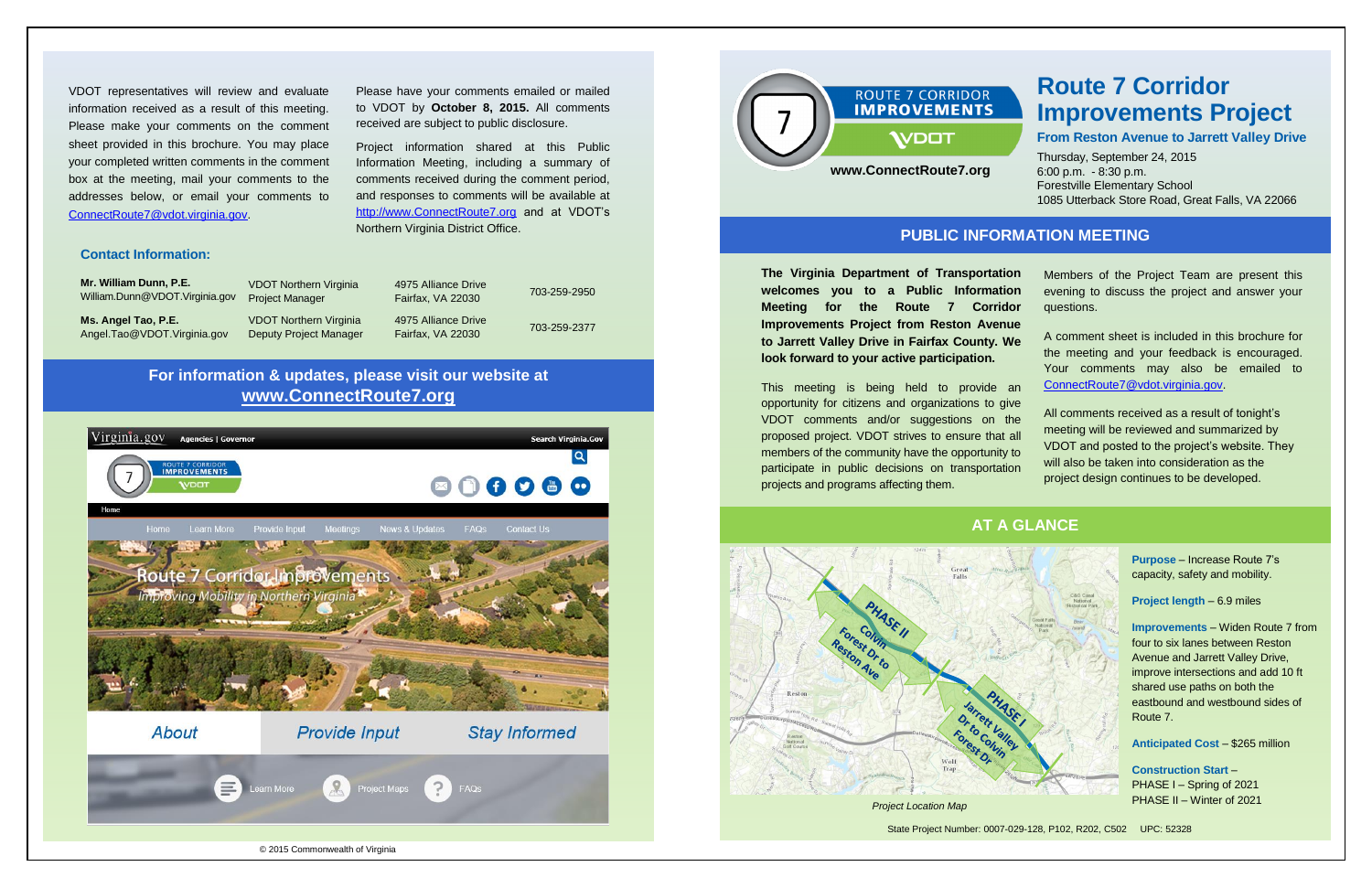

#### **Contact Information:**

**Mr. William Dunn, P.E.** William.Dunn@VDOT.Virginia.gov

VDOT Northern Virginia Project Manager

4975 Alliance Drive

**Ms. Angel Tao, P.E.** Angel.Tao@VDOT.Virginia.gov

Project information shared at this Public Information Meeting, including a summary of comments received during the comment period, and responses to comments will be available at [http://www.ConnectRoute7.org](http://www.connectroute7.org/) and at VDOT's

Fairfax, VA 22030 703-259-2950 4975 Alliance Drive

VDOT Northern Virginia Deputy Project Manager Fairfax, VA 22030 703-259-2377

Please have your comments emailed or mailed to VDOT by **October 8, 2015.** All comments

received are subject to public disclosure.

**The Virginia Department of Transportation** welcomes you to a Public Information **Meeting for the Route 7 Corrid Improvements Project from Reston Aven** to Jarrett Valley Drive in Fairfax County. **We look forward to your active participation.**

Northern Virginia District Office.

This meeting is being held to provide opportunity for citizens and organizations to gi VDOT comments and/or suggestions on proposed project. VDOT strives to ensure that members of the community have the opportunity participate in public decisions on transportation projects and programs affecting them.

VDOT representatives will review and evaluate information received as a result of this meeting. Please make your comments on the comment sheet provided in this brochure. You may place your completed written comments in the comment box at the meeting, mail your comments to the addresses below, or email your comments to [ConnectRoute7@vdot.virginia.gov.](mailto:ConnectRoute7@vdot.virginia.gov)

| on             | Members of the Project Team are present this                                                                                                                                    |
|----------------|---------------------------------------------------------------------------------------------------------------------------------------------------------------------------------|
| on             | evening to discuss the project and answer your                                                                                                                                  |
| lor            | questions.                                                                                                                                                                      |
| ue<br>٧e<br>an | A comment sheet is included in this brochure for<br>the meeting and your feedback is encouraged.<br>Your comments may also be emailed<br>to<br>ConnectRoute7@vdot.virginia.gov. |
| ive            | All comments received as a result of tonight's                                                                                                                                  |
| he             | meeting will be reviewed and summarized by                                                                                                                                      |
| all            | VDOT and posted to the project's website. They                                                                                                                                  |
| to             | will also be taken into consideration as the                                                                                                                                    |
| on             | project design continues to be developed.                                                                                                                                       |

**Purpose** – Increase Route 7's capacity, safety and mobility.

**Project length** – 6.9 miles

**Improvements** – Widen Route 7 from four to six lanes between Reston Avenue and Jarrett Valley Drive, improve intersections and add 10 ft shared use paths on both the eastbound and westbound sides of Route 7.

**Anticipated Cost** – \$265 million

**Construction Start** – PHASE I – Spring of 2021 PHASE II – Winter of 2021

# **Route 7 Corridor Improvements Project**

**From Reston Avenue to Jarrett Valley Drive**

Thursday, September 24, 2015 6:00 p.m. - 8:30 p.m. Forestville Elementary School 1085 Utterback Store Road, Great Falls, VA 22066

State Project Number: 0007-029-128, P102, R202, C502 UPC: 52328





## **PUBLIC INFORMATION MEETING**

### **AT A GLANCE**



# **For information & updates, please visit our website at www.ConnectRoute7.org**